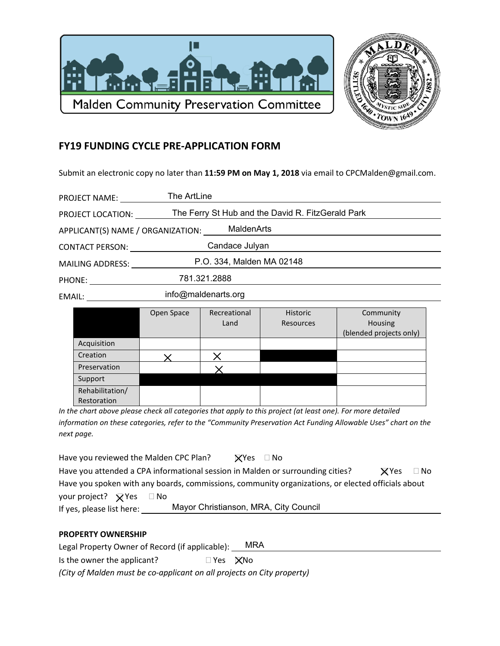



## **FY19 FUNDING CYCLE PRE-APPLICATION FORM**

Submit an electronic copy no later than 11:59 PM on May 1, 2018 via email to CPCMalden@gmail.com.

| <b>PROJECT NAME:</b>                                                                                                                                                                                                           | The ArtLine                                       |  |  |  |
|--------------------------------------------------------------------------------------------------------------------------------------------------------------------------------------------------------------------------------|---------------------------------------------------|--|--|--|
| PROJECT LOCATION:                                                                                                                                                                                                              | The Ferry St Hub and the David R. FitzGerald Park |  |  |  |
| MaldenArts<br>APPLICANT(S) NAME / ORGANIZATION:                                                                                                                                                                                |                                                   |  |  |  |
| <b>CONTACT PERSON:</b>                                                                                                                                                                                                         | Candace Julyan                                    |  |  |  |
| <b>MAILING ADDRESS:</b>                                                                                                                                                                                                        | P.O. 334, Malden MA 02148                         |  |  |  |
| PHONE: The contract of the contract of the contract of the contract of the contract of the contract of the contract of the contract of the contract of the contract of the contract of the contract of the contract of the con | 781.321.2888                                      |  |  |  |
| EMAIL: EMAIL:                                                                                                                                                                                                                  | info@maldenarts.org                               |  |  |  |
|                                                                                                                                                                                                                                |                                                   |  |  |  |

|                 | Open Space | Recreational | <b>Historic</b> | Community               |
|-----------------|------------|--------------|-----------------|-------------------------|
|                 |            | Land         | Resources       | Housing                 |
|                 |            |              |                 | (blended projects only) |
| Acquisition     |            |              |                 |                         |
| Creation        |            |              |                 |                         |
| Preservation    |            |              |                 |                         |
| Support         |            |              |                 |                         |
| Rehabilitation/ |            |              |                 |                         |
| Restoration     |            |              |                 |                         |

In the chart above please check all categories that apply to this project (at least one). For more detailed information on these categories, refer to the "Community Preservation Act Funding Allowable Uses" chart on the next page.

| Have you reviewed the Malden CPC Plan?                                                            |                                       | $\mathbf X$ Yes $\Box$ No |  |              |           |
|---------------------------------------------------------------------------------------------------|---------------------------------------|---------------------------|--|--------------|-----------|
| Have you attended a CPA informational session in Malden or surrounding cities?                    |                                       |                           |  | <b>X</b> Yes | $\Box$ No |
| Have you spoken with any boards, commissions, community organizations, or elected officials about |                                       |                           |  |              |           |
| your project? $\triangledown$ Yes $\square$ No                                                    |                                       |                           |  |              |           |
| If yes, please list here:                                                                         | Mayor Christianson, MRA, City Council |                           |  |              |           |

## **PROPERTY OWNERSHIP**

| Legal Property Owner of Record (if applicable):                        |                       | MRA |  |  |  |
|------------------------------------------------------------------------|-----------------------|-----|--|--|--|
| Is the owner the applicant?                                            | $\Box$ Yes $\Box$ XNo |     |  |  |  |
| (City of Malden must be co-applicant on all projects on City property) |                       |     |  |  |  |